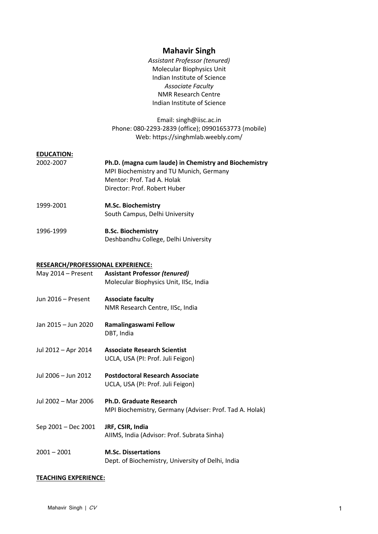# **Mahavir Singh**

*Assistant Professor (tenured)* Molecular Biophysics Unit Indian Institute of Science *Associate Faculty* NMR Research Centre Indian Institute of Science

Email: singh@iisc.ac.in Phone: 080-2293-2839 (office); 09901653773 (mobile) Web: https://singhmlab.weebly.com/

## **EDUCATION:**

| 2002-2007 | Ph.D. (magna cum laude) in Chemistry and Biochemistry<br>MPI Biochemistry and TU Munich, Germany<br>Mentor: Prof. Tad A. Holak<br>Director: Prof. Robert Huber |
|-----------|----------------------------------------------------------------------------------------------------------------------------------------------------------------|
| 1999-2001 | <b>M.Sc. Biochemistry</b><br>South Campus, Delhi University                                                                                                    |
| 1996-1999 | <b>B.Sc. Biochemistry</b>                                                                                                                                      |

# Deshbandhu College, Delhi University

#### **RESEARCH/PROFESSIONAL EXPERIENCE:**

| May 2014 - Present  | <b>Assistant Professor (tenured)</b><br>Molecular Biophysics Unit, IISc, India     |
|---------------------|------------------------------------------------------------------------------------|
| Jun 2016 – Present  | <b>Associate faculty</b><br>NMR Research Centre, IISc, India                       |
| Jan 2015 - Jun 2020 | Ramalingaswami Fellow<br>DBT, India                                                |
| Jul 2012 – Apr 2014 | <b>Associate Research Scientist</b><br>UCLA, USA (PI: Prof. Juli Feigon)           |
| Jul 2006 - Jun 2012 | <b>Postdoctoral Research Associate</b><br>UCLA, USA (PI: Prof. Juli Feigon)        |
| Jul 2002 - Mar 2006 | Ph.D. Graduate Research<br>MPI Biochemistry, Germany (Adviser: Prof. Tad A. Holak) |
| Sep 2001 - Dec 2001 | JRF, CSIR, India<br>AIIMS, India (Advisor: Prof. Subrata Sinha)                    |
| $2001 - 2001$       | <b>M.Sc. Dissertations</b><br>Dept. of Biochemistry, University of Delhi, India    |

#### **TEACHING EXPERIENCE:**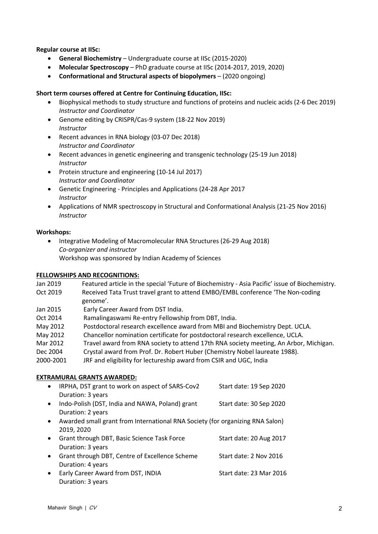**Regular course at IISc:**

- **General Biochemistry** Undergraduate course at IISc (2015-2020)
- **Molecular Spectroscopy** PhD graduate course at IISc (2014-2017, 2019, 2020)
- **Conformational and Structural aspects of biopolymers** (2020 ongoing)

#### **Short term courses offered at Centre for Continuing Education, IISc:**

- Biophysical methods to study structure and functions of proteins and nucleic acids (2-6 Dec 2019) *Instructor and Coordinator*
- Genome editing by CRISPR/Cas-9 system (18-22 Nov 2019) *Instructor*
- Recent advances in RNA biology (03-07 Dec 2018) *Instructor and Coordinator*
- Recent advances in genetic engineering and transgenic technology (25-19 Jun 2018) *Instructor*
- Protein structure and engineering (10-14 Jul 2017) *Instructor and Coordinator*
- Genetic Engineering Principles and Applications (24-28 Apr 2017 *Instructor*
- Applications of NMR spectroscopy in Structural and Conformational Analysis (21-25 Nov 2016) *Instructor*

#### **Workshops:**

• Integrative Modeling of Macromolecular RNA Structures (26-29 Aug 2018) *Co-organizer and instructor* Workshop was sponsored by Indian Academy of Sciences

#### **FELLOWSHIPS AND RECOGNITIONS:**

| Jan 2019  | Featured article in the special 'Future of Biochemistry - Asia Pacific' issue of Biochemistry. |
|-----------|------------------------------------------------------------------------------------------------|
| Oct 2019  | Received Tata Trust travel grant to attend EMBO/EMBL conference 'The Non-coding                |
|           | genome'.                                                                                       |
| Jan 2015  | Early Career Award from DST India.                                                             |
| Oct 2014  | Ramalingaswami Re-entry Fellowship from DBT, India.                                            |
| May 2012  | Postdoctoral research excellence award from MBI and Biochemistry Dept. UCLA.                   |
| May 2012  | Chancellor nomination certificate for postdoctoral research excellence, UCLA.                  |
| Mar 2012  | Travel award from RNA society to attend 17th RNA society meeting, An Arbor, Michigan.          |
| Dec 2004  | Crystal award from Prof. Dr. Robert Huber (Chemistry Nobel laureate 1988).                     |
| 2000-2001 | JRF and eligibility for lectureship award from CSIR and UGC, India                             |

#### **EXTRAMURAL GRANTS AWARDED:**

| $\bullet$ | IRPHA, DST grant to work on aspect of SARS-Cov2<br>Duration: 3 years                        | Start date: 19 Sep 2020 |
|-----------|---------------------------------------------------------------------------------------------|-------------------------|
| $\bullet$ | Indo-Polish (DST, India and NAWA, Poland) grant<br>Duration: 2 years                        | Start date: 30 Sep 2020 |
|           | Awarded small grant from International RNA Society (for organizing RNA Salon)<br>2019, 2020 |                         |
|           | Grant through DBT, Basic Science Task Force<br>Duration: 3 years                            | Start date: 20 Aug 2017 |
|           | Grant through DBT, Centre of Excellence Scheme<br>Duration: 4 years                         | Start date: 2 Nov 2016  |
| $\bullet$ | Early Career Award from DST, INDIA<br>Duration: 3 years                                     | Start date: 23 Mar 2016 |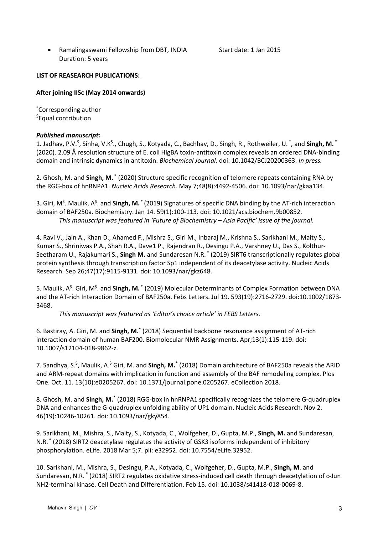• Ramalingaswami Fellowship from DBT, INDIA Start date: 1 Jan 2015 Duration: 5 years

## **LIST OF REASEARCH PUBLICATIONS:**

# **After joining IISc (May 2014 onwards)**

\* Corresponding author \$ Equal contribution

# *Published manuscript:*

1. Jadhav, P.V.<sup>\$</sup>, Sinha, V.K<sup>\$</sup>., Chugh, S., Kotyada, C., Bachhav, D., Singh, R., Rothweiler, U. <sup>\*</sup>, and **Singh, M.** <sup>\*</sup> (2020). 2.09 Å resolution structure of E. coli HigBA toxin-antitoxin complex reveals an ordered DNA-binding domain and intrinsic dynamics in antitoxin. *Biochemical Journal.* doi: 10.1042/BCJ20200363. *In press.*

2. Ghosh, M. and **Singh, M. \*** (2020) Structure specific recognition of telomere repeats containing RNA by the RGG-box of hnRNPA1. *Nucleic Acids Research.* May 7;48(8):4492-4506. doi: 10.1093/nar/gkaa134.

3. Giri, M<sup>\$</sup>. Maulik, A<sup>\$</sup>. and Singh, M. <sup>\*</sup> (2019) Signatures of specific DNA binding by the AT-rich interaction domain of BAF250a. Biochemistry. Jan 14. 59(1):100-113. doi: 10.1021/acs.biochem.9b00852. *This manuscript was featured in 'Future of Biochemistry – Asia Pacific' issue of the journal.*

4. Ravi V., Jain A., Khan D., Ahamed F., Mishra S., Giri M., Inbaraj M., Krishna S., Sarikhani M., Maity S., Kumar S., Shriniwas P.A., Shah R.A., Dave1 P., Rajendran R., Desingu P.A., Varshney U., Das S., Kolthur-Seetharam U., Rajakumari S., **Singh M.** and Sundaresan N.R. \* (2019) SIRT6 transcriptionally regulates global protein synthesis through transcription factor Sp1 independent of its deacetylase activity. Nucleic Acids Research. Sep 26;47(17):9115-9131. doi: 10.1093/nar/gkz648.

5. Maulik, A<sup>\$</sup>. Giri, M<sup>\$</sup>. and **Singh, M.** \* (2019) Molecular Determinants of Complex Formation between DNA and the AT-rich Interaction Domain of BAF250a. Febs Letters. Jul 19. 593(19):2716-2729. doi:10.1002/1873- 3468.

*This manuscript was featured as 'Editor's choice article' in FEBS Letters.*

6. Bastiray, A. Giri, M. and **Singh, M.\*** (2018) Sequential backbone resonance assignment of AT-rich interaction domain of human BAF200. Biomolecular NMR Assignments. Apr;13(1):115-119. doi: 10.1007/s12104-018-9862-z.

7. Sandhya, S.<sup>\$</sup>, Maulik, A.<sup>\$</sup> Giri, M. and **Singh, M.<sup>\*</sup> (2018)** Domain architecture of BAF250a reveals the ARID and ARM-repeat domains with implication in function and assembly of the BAF remodeling complex. Plos One. Oct. 11. 13(10):e0205267. doi: 10.1371/journal.pone.0205267. eCollection 2018.

8. Ghosh, M. and **Singh, M.\*** (2018) RGG-box in hnRNPA1 specifically recognizes the telomere G-quadruplex DNA and enhances the G-quadruplex unfolding ability of UP1 domain. Nucleic Acids Research. Nov 2. 46(19):10246-10261. doi: 10.1093/nar/gky854.

9. Sarikhani, M., Mishra, S., Maity, S., Kotyada, C., Wolfgeher, D., Gupta, M.P., **Singh, M.** and Sundaresan, N.R. **\*** (2018) SIRT2 deacetylase regulates the activity of GSK3 isoforms independent of inhibitory phosphorylation. eLife. 2018 Mar 5;7. pii: e32952. doi: 10.7554/eLife.32952.

10. Sarikhani, M., Mishra, S., Desingu, P.A., Kotyada, C., Wolfgeher, D., Gupta, M.P., **Singh, M**. and Sundaresan, N.R. **\*** (2018) SIRT2 regulates oxidative stress-induced cell death through deacetylation of c-Jun NH2-terminal kinase. Cell Death and Differentiation. Feb 15. doi: 10.1038/s41418-018-0069-8.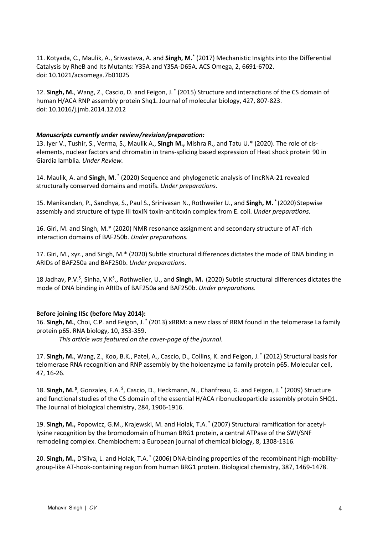11. Kotyada, C., Maulik, A., Srivastava, A. and **Singh, M.\*** (2017) Mechanistic Insights into the Differential Catalysis by RheB and Its Mutants: Y35A and Y35A-D65A. ACS Omega, 2, 6691-6702. doi: 10.1021/acsomega.7b01025

12. **Singh, M.**, Wang, Z., Cascio, D. and Feigon, J. **\*** (2015) Structure and interactions of the CS domain of human H/ACA RNP assembly protein Shq1. Journal of molecular biology, 427, 807-823. doi: 10.1016/j.jmb.2014.12.012

#### *Manuscripts currently under review/revision/preparation:*

13. Iyer V., Tushir, S., Verma, S., Maulik A., **Singh M.,** Mishra R., and Tatu U.\* (2020). The role of ciselements, nuclear factors and chromatin in trans-splicing based expression of Heat shock protein 90 in Giardia lamblia. *Under Review.*

14. Maulik, A. and **Singh, M. \*** (2020) Sequence and phylogenetic analysis of lincRNA-21 revealed structurally conserved domains and motifs. *Under preparations.*

15. Manikandan, P., Sandhya, S., Paul S., Srinivasan N., Rothweiler U., and **Singh, M. \*** (2020) Stepwise assembly and structure of type III toxIN toxin-antitoxin complex from E. coli. *Under preparations.*

16. Giri, M. and Singh, M.\* (2020) NMR resonance assignment and secondary structure of AT-rich interaction domains of BAF250b. *Under preparations.*

17. Giri, M., xyz., and Singh, M.\* (2020) Subtle structural differences dictates the mode of DNA binding in ARIDs of BAF250a and BAF250b. *Under preparations.*

18 Jadhav, P.V.<sup>\$</sup>, Sinha, V.K<sup>\$</sup>., Rothweiler, U., and **Singh, M.** (2020) Subtle structural differences dictates the mode of DNA binding in ARIDs of BAF250a and BAF250b. *Under preparations.*

#### **Before joining IISc (before May 2014):**

16. **Singh, M.**, Choi, C.P. and Feigon, J. **\*** (2013) xRRM: a new class of RRM found in the telomerase La family protein p65. RNA biology, 10, 353-359.

*This article was featured on the cover-page of the journal.*

17. **Singh, M.**, Wang, Z., Koo, B.K., Patel, A., Cascio, D., Collins, K. and Feigon, J. **\*** (2012) Structural basis for telomerase RNA recognition and RNP assembly by the holoenzyme La family protein p65. Molecular cell, 47, 16-26.

18. Singh, M.<sup>\$</sup>, Gonzales, F.A.<sup>\$</sup>, Cascio, D., Heckmann, N., Chanfreau, G. and Feigon, J.<sup>\*</sup> (2009) Structure and functional studies of the CS domain of the essential H/ACA ribonucleoparticle assembly protein SHQ1. The Journal of biological chemistry, 284, 1906-1916.

19. **Singh, M.,** Popowicz, G.M., Krajewski, M. and Holak, T.A. **\*** (2007) Structural ramification for acetyllysine recognition by the bromodomain of human BRG1 protein, a central ATPase of the SWI/SNF remodeling complex. Chembiochem: a European journal of chemical biology, 8, 1308-1316.

20. **Singh, M.,** D'Silva, L. and Holak, T.A. **\*** (2006) DNA-binding properties of the recombinant high-mobilitygroup-like AT-hook-containing region from human BRG1 protein. Biological chemistry, 387, 1469-1478.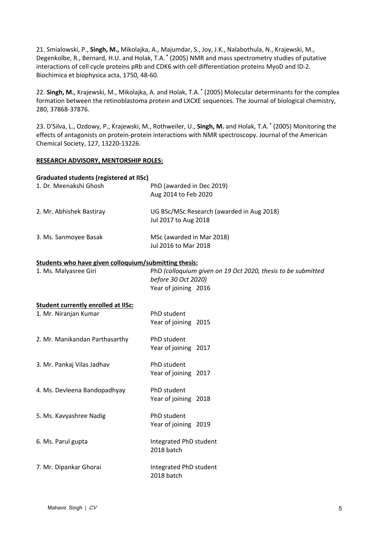21. Smialowski, P., **Singh, M.,** Mikolajka, A., Majumdar, S., Joy, J.K., Nalabothula, N., Krajewski, M., Degenkolbe, R., Bernard, H.U. and Holak, T.A. **\*** (2005) NMR and mass spectrometry studies of putative interactions of cell cycle proteins pRb and CDK6 with cell differentiation proteins MyoD and ID-2. Biochimica et biophysica acta, 1750, 48-60.

22. **Singh, M.**, Krajewski, M., Mikolajka, A. and Holak, T.A. **\*** (2005) Molecular determinants for the complex formation between the retinoblastoma protein and LXCXE sequences. The Journal of biological chemistry, 280, 37868-37876.

23. D'Silva, L., Ozdowy, P., Krajewski, M., Rothweiler, U., **Singh, M.** and Holak, T.A. **\*** (2005) Monitoring the effects of antagonists on protein-protein interactions with NMR spectroscopy. Journal of the American Chemical Society, 127, 13220-13226.

### **RESEARCH ADVISORY, MENTORSHIP ROLES:**

#### **Graduated students (registered at IISc)**

| 1. Dr. Meenakshi Ghosh                                | PhD (awarded in Dec 2019)<br>Aug 2014 to Feb 2020                                   |
|-------------------------------------------------------|-------------------------------------------------------------------------------------|
| 2. Mr. Abhishek Bastiray                              | UG BSc/MSc Research (awarded in Aug 2018)<br>Jul 2017 to Aug 2018                   |
| 3. Ms. Sanmoyee Basak                                 | MSc (awarded in Mar 2018)<br>Jul 2016 to Mar 2018                                   |
| Students who have given colloquium/submitting thesis: |                                                                                     |
| 1. Ms. Malyasree Giri                                 | PhD (colloquium given on 19 Oct 2020, thesis to be submitted<br>before 30 Oct 2020) |
|                                                       | Year of joining 2016                                                                |
| <b>Student currently enrolled at IISc:</b>            |                                                                                     |
| 1. Mr. Niranjan Kumar                                 | PhD student                                                                         |
|                                                       | Year of joining 2015                                                                |
| 2. Mr. Manikandan Parthasarthy                        | PhD student                                                                         |
|                                                       | Year of joining 2017                                                                |
| 3. Mr. Pankaj Vilas Jadhav                            | PhD student                                                                         |
|                                                       | Year of joining 2017                                                                |
| 4. Ms. Devleena Bandopadhyay                          | PhD student                                                                         |
|                                                       | Year of joining 2018                                                                |
| 5. Ms. Kavyashree Nadig                               | PhD student                                                                         |
|                                                       | Year of joining 2019                                                                |
| 6. Ms. Parul gupta                                    | Integrated PhD student                                                              |
|                                                       | 2018 batch                                                                          |
| 7. Mr. Dipankar Ghorai                                | Integrated PhD student                                                              |
|                                                       | 2018 batch                                                                          |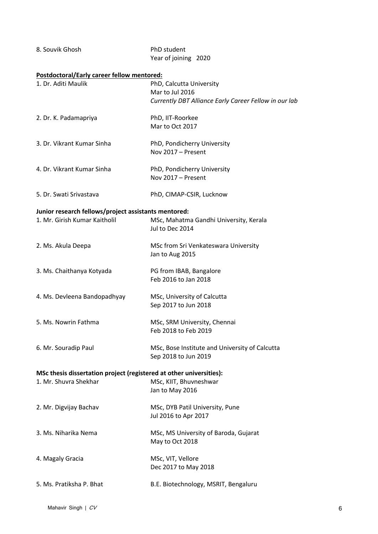| 8. Souvik Ghosh                                                     | PhD student<br>Year of joining 2020                       |
|---------------------------------------------------------------------|-----------------------------------------------------------|
| Postdoctoral/Early career fellow mentored:                          |                                                           |
| 1. Dr. Aditi Maulik                                                 | PhD, Calcutta University                                  |
|                                                                     | Mar to Jul 2016                                           |
|                                                                     | Currently DBT Alliance Early Career Fellow in our lab     |
| 2. Dr. K. Padamapriya                                               | PhD, IIT-Roorkee                                          |
|                                                                     | Mar to Oct 2017                                           |
| 3. Dr. Vikrant Kumar Sinha                                          | PhD, Pondicherry University                               |
|                                                                     | Nov 2017 - Present                                        |
| 4. Dr. Vikrant Kumar Sinha                                          | PhD, Pondicherry University                               |
|                                                                     | Nov 2017 - Present                                        |
| 5. Dr. Swati Srivastava                                             | PhD, CIMAP-CSIR, Lucknow                                  |
| Junior research fellows/project assistants mentored:                |                                                           |
| 1. Mr. Girish Kumar Kaitholil                                       | MSc, Mahatma Gandhi University, Kerala<br>Jul to Dec 2014 |
| 2. Ms. Akula Deepa                                                  | MSc from Sri Venkateswara University                      |
|                                                                     | Jan to Aug 2015                                           |
| 3. Ms. Chaithanya Kotyada                                           | PG from IBAB, Bangalore                                   |
|                                                                     | Feb 2016 to Jan 2018                                      |
| 4. Ms. Devleena Bandopadhyay                                        | MSc, University of Calcutta                               |
|                                                                     | Sep 2017 to Jun 2018                                      |
| 5. Ms. Nowrin Fathma                                                | MSc, SRM University, Chennai                              |
|                                                                     | Feb 2018 to Feb 2019                                      |
| 6. Mr. Souradip Paul                                                | MSc, Bose Institute and University of Calcutta            |
|                                                                     | Sep 2018 to Jun 2019                                      |
| MSc thesis dissertation project (registered at other universities): |                                                           |
| 1. Mr. Shuvra Shekhar                                               | MSc, KIIT, Bhuvneshwar                                    |
|                                                                     | Jan to May 2016                                           |
| 2. Mr. Digvijay Bachav                                              | MSc, DYB Patil University, Pune                           |
|                                                                     | Jul 2016 to Apr 2017                                      |
| 3. Ms. Niharika Nema                                                | MSc, MS University of Baroda, Gujarat                     |
|                                                                     | May to Oct 2018                                           |
| 4. Magaly Gracia                                                    | MSc, VIT, Vellore                                         |
|                                                                     | Dec 2017 to May 2018                                      |
| 5. Ms. Pratiksha P. Bhat                                            | B.E. Biotechnology, MSRIT, Bengaluru                      |
|                                                                     |                                                           |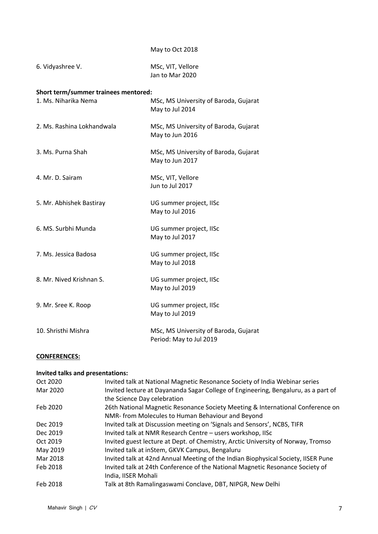# May to Oct 2018

| 6. Vidyashree V. | MSc, VIT, Vellore |
|------------------|-------------------|
|                  | Jan to Mar 2020   |

# **Short term/summer trainees mentored:**

| 1. Ms. Niharika Nema       | MSc, MS University of Baroda, Gujarat<br>May to Jul 2014         |
|----------------------------|------------------------------------------------------------------|
| 2. Ms. Rashina Lokhandwala | MSc, MS University of Baroda, Gujarat<br>May to Jun 2016         |
| 3. Ms. Purna Shah          | MSc, MS University of Baroda, Gujarat<br>May to Jun 2017         |
| 4. Mr. D. Sairam           | MSc, VIT, Vellore<br>Jun to Jul 2017                             |
| 5. Mr. Abhishek Bastiray   | UG summer project, IISc<br>May to Jul 2016                       |
| 6. MS. Surbhi Munda        | UG summer project, IISc<br>May to Jul 2017                       |
| 7. Ms. Jessica Badosa      | UG summer project, IISc<br>May to Jul 2018                       |
| 8. Mr. Nived Krishnan S.   | UG summer project, IISc<br>May to Jul 2019                       |
| 9. Mr. Sree K. Roop        | UG summer project, IISc<br>May to Jul 2019                       |
| 10. Shristhi Mishra        | MSc, MS University of Baroda, Gujarat<br>Period: May to Jul 2019 |

# **CONFERENCES:**

# **Invited talks and presentations:**

| Oct 2020 | Invited talk at National Magnetic Resonance Society of India Webinar series        |
|----------|------------------------------------------------------------------------------------|
| Mar 2020 | Invited lecture at Dayananda Sagar College of Engineering, Bengaluru, as a part of |
|          | the Science Day celebration                                                        |
| Feb 2020 | 26th National Magnetic Resonance Society Meeting & International Conference on     |
|          | NMR- from Molecules to Human Behaviour and Beyond                                  |
| Dec 2019 | Invited talk at Discussion meeting on 'Signals and Sensors', NCBS, TIFR            |
| Dec 2019 | Invited talk at NMR Research Centre - users workshop, IISc                         |
| Oct 2019 | Invited guest lecture at Dept. of Chemistry, Arctic University of Norway, Tromso   |
| May 2019 | Invited talk at inStem, GKVK Campus, Bengaluru                                     |
| Mar 2018 | Invited talk at 42nd Annual Meeting of the Indian Biophysical Society, IISER Pune  |
| Feb 2018 | Invited talk at 24th Conference of the National Magnetic Resonance Society of      |
|          | India, IISER Mohali                                                                |
| Feb 2018 | Talk at 8th Ramalingaswami Conclave, DBT, NIPGR, New Delhi                         |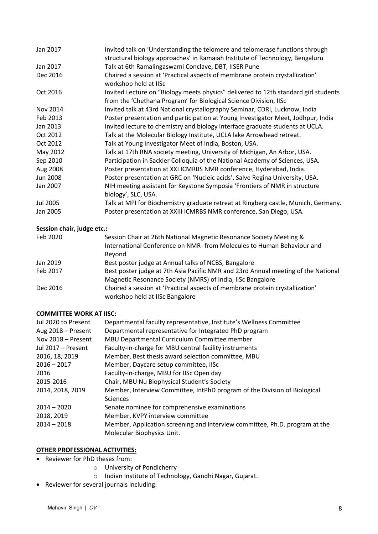| Jan 2017        | Invited talk on 'Understanding the telomere and telomerase functions through<br>structural biology approaches' in Ramaiah Institute of Technology, Bengaluru |
|-----------------|--------------------------------------------------------------------------------------------------------------------------------------------------------------|
| Jan 2017        | Talk at 6th Ramalingaswami Conclave, DBT, IISER Pune                                                                                                         |
| Dec 2016        | Chaired a session at 'Practical aspects of membrane protein crystallization'<br>workshop held at IISc                                                        |
| Oct 2016        | Invited Lecture on "Biology meets physics" delivered to 12th standard girl students<br>from the 'Chethana Program' for Biological Science Division, IISc     |
| Nov 2014        | Invited talk at 43rd National crystallography Seminar, CDRI, Lucknow, India                                                                                  |
| Feb 2013        | Poster presentation and participation at Young Investigator Meet, Jodhpur, India                                                                             |
| Jan 2013        | Invited lecture to chemistry and biology interface graduate students at UCLA.                                                                                |
| Oct 2012        | Talk at the Molecular Biology Institute, UCLA lake Arrowhead retreat.                                                                                        |
| Oct 2012        | Talk at Young Investigator Meet of India, Boston, USA.                                                                                                       |
| May 2012        | Talk at 17th RNA society meeting, University of Michigan, An Arbor, USA.                                                                                     |
| Sep 2010        | Participation in Sackler Colloquia of the National Academy of Sciences, USA.                                                                                 |
| Aug 2008        | Poster presentation at XXI ICMRBS NMR conference, Hyderabad, India.                                                                                          |
| Jun 2008        | Poster presentation at GRC on 'Nucleic acids', Salve Regina University, USA.                                                                                 |
| Jan 2007        | NIH meeting assistant for Keystone Symposia 'Frontiers of NMR in structure<br>biology', SLC, USA.                                                            |
| <b>Jul 2005</b> | Talk at MPI for Biochemistry graduate retreat at Ringberg castle, Munich, Germany.                                                                           |
| Jan 2005        | Poster presentation at XXIII ICMRBS NMR conference, San Diego, USA.                                                                                          |

# **Session chair, judge etc.:**

| Feb 2020 | Session Chair at 26th National Magnetic Resonance Society Meeting &                                             |
|----------|-----------------------------------------------------------------------------------------------------------------|
|          | International Conference on NMR- from Molecules to Human Behaviour and                                          |
|          | Beyond                                                                                                          |
| Jan 2019 | Best poster judge at Annual talks of NCBS, Bangalore                                                            |
| Feb 2017 | Best poster judge at 7th Asia Pacific NMR and 23rd Annual meeting of the National                               |
|          | Magnetic Resonance Society (NMRS) of India, IISc Bangalore                                                      |
| Dec 2016 | Chaired a session at 'Practical aspects of membrane protein crystallization'<br>workshop held at IISc Bangalore |
|          |                                                                                                                 |

# **COMMITTEE WORK AT IISC:**

| Jul 2020 to Present       | Departmental faculty representative, Institute's Wellness Committee         |
|---------------------------|-----------------------------------------------------------------------------|
| Aug 2018 - Present        | Departmental representative for Integrated PhD program                      |
| Nov 2018 - Present        | MBU Departmental Curriculum Committee member                                |
| <b>Jul 2017 - Present</b> | Faculty-in-charge for MBU central facility instruments                      |
| 2016, 18, 2019            | Member, Best thesis award selection committee, MBU                          |
| $2016 - 2017$             | Member, Daycare setup committee, IISc                                       |
| 2016                      | Faculty-in-charge, MBU for IISc Open day                                    |
| 2015-2016                 | Chair, MBU Nu Biophysical Student's Society                                 |
| 2014, 2018, 2019          | Member, Interview Committee, IntPhD program of the Division of Biological   |
|                           | <b>Sciences</b>                                                             |
| $2014 - 2020$             | Senate nominee for comprehensive examinations                               |
| 2018, 2019                | Member, KVPY interview committee                                            |
| $2014 - 2018$             | Member, Application screening and interview committee, Ph.D. program at the |
|                           | Molecular Biophysics Unit.                                                  |
|                           |                                                                             |

# **OTHER PROFESSIONAL ACTIVITIES:**

- Reviewer for PhD theses from:
	- o University of Pondicherry
	- o Indian Institute of Technology, Gandhi Nagar, Gujarat.
- Reviewer for several journals including: